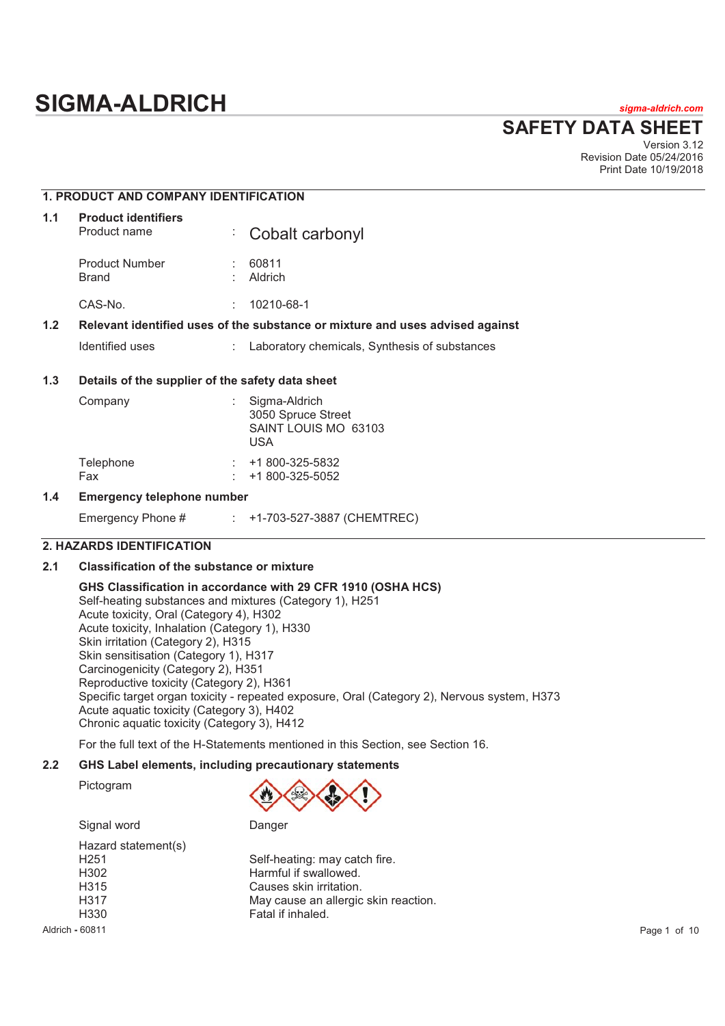# **SIGMA-ALDRICH** *sigma-aldrich.com*

**SAFETY DATA SHEET**

Version 3.12 Revision Date 05/24/2016 Print Date 10/19/2018

# **1. PRODUCT AND COMPANY IDENTIFICATION**

| 1.1 | <b>Product identifiers</b><br>Product name |    | : Cobalt carbonyl                                                             |
|-----|--------------------------------------------|----|-------------------------------------------------------------------------------|
|     | <b>Product Number</b><br>Brand             |    | 60811<br>Aldrich                                                              |
|     | CAS-No.                                    | ٠. | 10210-68-1                                                                    |
| 1.2 |                                            |    | Relevant identified uses of the substance or mixture and uses advised against |

Identified uses : Laboratory chemicals, Synthesis of substances

# **1.3 Details of the supplier of the safety data sheet**

| Company          | ۰. | Sigma-Aldrich<br>3050 Spruce Street<br>SAINT LOUIS MO 63103<br>USA |
|------------------|----|--------------------------------------------------------------------|
| Telephone<br>Fax |    | +1 800-325-5832<br>+1 800-325-5052                                 |

# **1.4 Emergency telephone number**

| Emergency Phone # |  | +1-703-527-3887 (CHEMTREC) |  |  |
|-------------------|--|----------------------------|--|--|
|-------------------|--|----------------------------|--|--|

# **2. HAZARDS IDENTIFICATION**

# **2.1 Classification of the substance or mixture**

**GHS Classification in accordance with 29 CFR 1910 (OSHA HCS)**  Self-heating substances and mixtures (Category 1), H251 Acute toxicity, Oral (Category 4), H302 Acute toxicity, Inhalation (Category 1), H330 Skin irritation (Category 2), H315 Skin sensitisation (Category 1), H317 Carcinogenicity (Category 2), H351 Reproductive toxicity (Category 2), H361 Specific target organ toxicity - repeated exposure, Oral (Category 2), Nervous system, H373 Acute aquatic toxicity (Category 3), H402 Chronic aquatic toxicity (Category 3), H412

For the full text of the H-Statements mentioned in this Section, see Section 16.

# **2.2 GHS Label elements, including precautionary statements**

Pictogram



Hazard statement(s)<br>H251 H302 Harmful if swallowed. H315 Causes skin irritation. H330 Fatal if inhaled.



| H251 | Self-heating: may catch fire.        |
|------|--------------------------------------|
| H302 | Harmful if swallowed.                |
| H315 | Causes skin irritation.              |
| H317 | May cause an allergic skin reaction. |
| H330 | Fatal if inhaled.                    |
|      |                                      |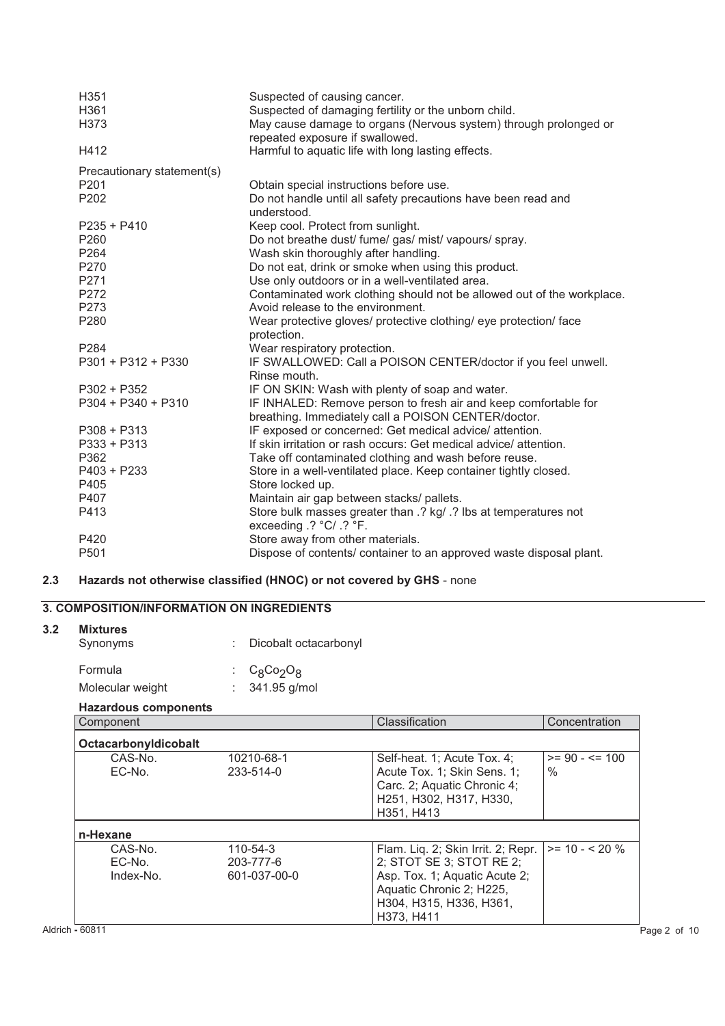| H351                       | Suspected of causing cancer.                                           |
|----------------------------|------------------------------------------------------------------------|
| H361                       | Suspected of damaging fertility or the unborn child.                   |
| H373                       | May cause damage to organs (Nervous system) through prolonged or       |
|                            | repeated exposure if swallowed.                                        |
| H412                       | Harmful to aquatic life with long lasting effects.                     |
| Precautionary statement(s) |                                                                        |
| P <sub>201</sub>           | Obtain special instructions before use.                                |
| P202                       | Do not handle until all safety precautions have been read and          |
|                            | understood.                                                            |
| $P235 + P410$              | Keep cool. Protect from sunlight.                                      |
| P260                       | Do not breathe dust/ fume/ gas/ mist/ vapours/ spray.                  |
| P264                       | Wash skin thoroughly after handling.                                   |
| P270                       | Do not eat, drink or smoke when using this product.                    |
| P271                       | Use only outdoors or in a well-ventilated area.                        |
| P272                       | Contaminated work clothing should not be allowed out of the workplace. |
| P273                       | Avoid release to the environment.                                      |
| P280                       | Wear protective gloves/ protective clothing/ eye protection/ face      |
|                            | protection.                                                            |
| P284                       | Wear respiratory protection.                                           |
| $P301 + P312 + P330$       | IF SWALLOWED: Call a POISON CENTER/doctor if you feel unwell.          |
|                            | Rinse mouth.                                                           |
| $P302 + P352$              | IF ON SKIN: Wash with plenty of soap and water.                        |
| $P304 + P340 + P310$       | IF INHALED: Remove person to fresh air and keep comfortable for        |
|                            | breathing. Immediately call a POISON CENTER/doctor.                    |
| $P308 + P313$              | IF exposed or concerned: Get medical advice/ attention.                |
| $P333 + P313$              | If skin irritation or rash occurs: Get medical advice/ attention.      |
| P362                       | Take off contaminated clothing and wash before reuse.                  |
| $P403 + P233$              | Store in a well-ventilated place. Keep container tightly closed.       |
| P405                       | Store locked up.                                                       |
| P407                       | Maintain air gap between stacks/ pallets.                              |
| P413                       | Store bulk masses greater than .? kg/ .? Ibs at temperatures not       |
|                            | exceeding .? °C/ .? °F.                                                |
| P420                       | Store away from other materials.                                       |
| P <sub>501</sub>           | Dispose of contents/ container to an approved waste disposal plant.    |

# **2.3 Hazards not otherwise classified (HNOC) or not covered by GHS** - none

# **3. COMPOSITION/INFORMATION ON INGREDIENTS**

| <b>Mixtures</b><br>Synonyms |                      | : Dicobalt octacarbonyl              |                                                                                                                                                         |                   |
|-----------------------------|----------------------|--------------------------------------|---------------------------------------------------------------------------------------------------------------------------------------------------------|-------------------|
| Formula                     |                      | $C_8$ Co <sub>2</sub> O <sub>8</sub> |                                                                                                                                                         |                   |
|                             | Molecular weight     | 341.95 g/mol                         |                                                                                                                                                         |                   |
|                             | Hazardous components |                                      |                                                                                                                                                         |                   |
| Component                   |                      |                                      | Classification                                                                                                                                          | Concentration     |
|                             | OctacarbonyIdicobalt |                                      |                                                                                                                                                         |                   |
|                             | CAS-No.              | 10210-68-1                           | Self-heat. 1; Acute Tox. 4;                                                                                                                             | $>= 90 - 5 = 100$ |
|                             | EC-No.               | 233-514-0                            | Acute Tox. 1; Skin Sens. 1;<br>Carc. 2; Aquatic Chronic 4;<br>H <sub>251</sub> , H <sub>302</sub> , H <sub>317</sub> , H <sub>330</sub> ,<br>H351, H413 | $\%$              |
| n-Hexane                    |                      |                                      |                                                                                                                                                         |                   |
|                             | CAS-No.              | 110-54-3                             | Flam. Liq. 2; Skin Irrit. 2; Repr.                                                                                                                      | $>= 10 - 520$ %   |
|                             | EC-No.               | 203-777-6                            | 2; STOT SE 3; STOT RE 2;                                                                                                                                |                   |
|                             | Index-No.            | 601-037-00-0                         | Asp. Tox. 1; Aquatic Acute 2;<br>Aquatic Chronic 2; H225,<br>H304, H315, H336, H361,<br>H373, H411                                                      |                   |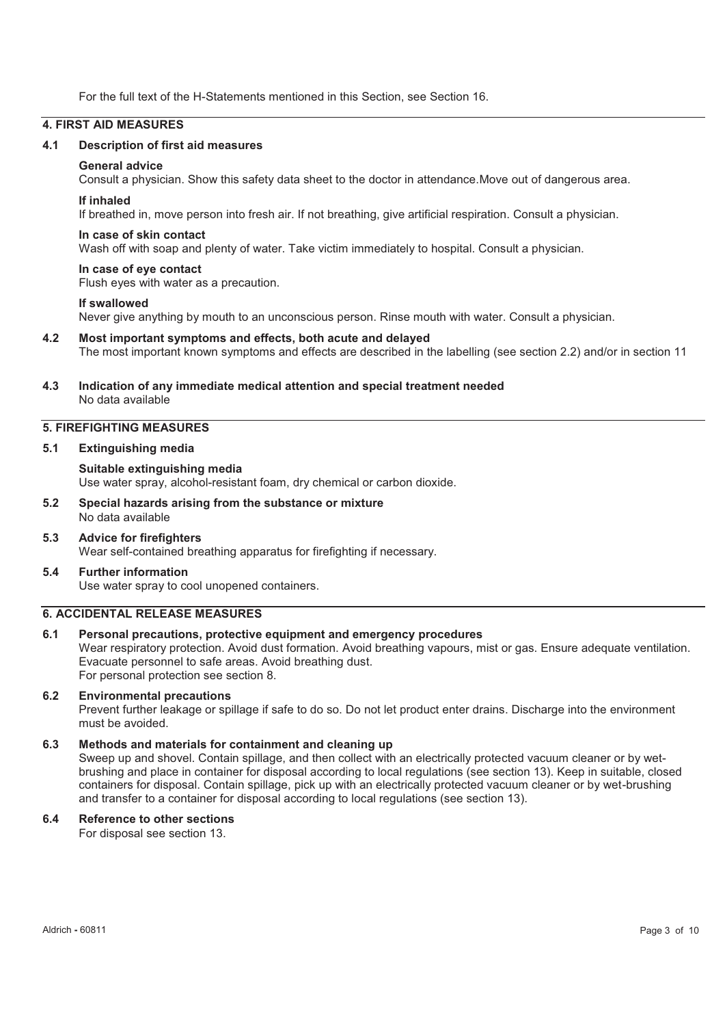For the full text of the H-Statements mentioned in this Section, see Section 16.

### **4. FIRST AID MEASURES**

#### **4.1 Description of first aid measures**

# **General advice**

Consult a physician. Show this safety data sheet to the doctor in attendance.Move out of dangerous area.

#### **If inhaled**

If breathed in, move person into fresh air. If not breathing, give artificial respiration. Consult a physician.

#### **In case of skin contact**

Wash off with soap and plenty of water. Take victim immediately to hospital. Consult a physician.

#### **In case of eye contact**

Flush eyes with water as a precaution.

#### **If swallowed**

Never give anything by mouth to an unconscious person. Rinse mouth with water. Consult a physician.

#### **4.2 Most important symptoms and effects, both acute and delayed**

The most important known symptoms and effects are described in the labelling (see section 2.2) and/or in section 11

#### **4.3 Indication of any immediate medical attention and special treatment needed**  No data available

# **5. FIREFIGHTING MEASURES**

#### **5.1 Extinguishing media**

**Suitable extinguishing media**  Use water spray, alcohol-resistant foam, dry chemical or carbon dioxide.

- **5.2 Special hazards arising from the substance or mixture**  No data available
- **5.3 Advice for firefighters**  Wear self-contained breathing apparatus for firefighting if necessary.

#### **5.4 Further information**  Use water spray to cool unopened containers.

#### **6. ACCIDENTAL RELEASE MEASURES**

#### **6.1 Personal precautions, protective equipment and emergency procedures**

Wear respiratory protection. Avoid dust formation. Avoid breathing vapours, mist or gas. Ensure adequate ventilation. Evacuate personnel to safe areas. Avoid breathing dust. For personal protection see section 8.

#### **6.2 Environmental precautions**

Prevent further leakage or spillage if safe to do so. Do not let product enter drains. Discharge into the environment must be avoided.

#### **6.3 Methods and materials for containment and cleaning up**

Sweep up and shovel. Contain spillage, and then collect with an electrically protected vacuum cleaner or by wetbrushing and place in container for disposal according to local regulations (see section 13). Keep in suitable, closed containers for disposal. Contain spillage, pick up with an electrically protected vacuum cleaner or by wet-brushing and transfer to a container for disposal according to local regulations (see section 13).

### **6.4 Reference to other sections**

For disposal see section 13.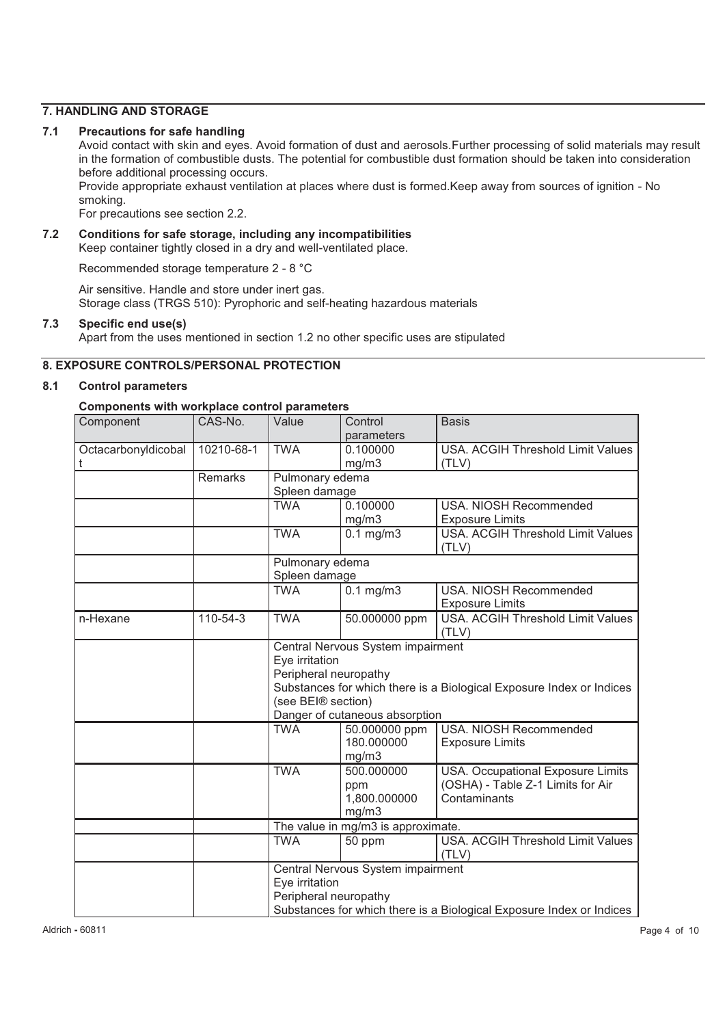# **7. HANDLING AND STORAGE**

#### **7.1 Precautions for safe handling**

Avoid contact with skin and eyes. Avoid formation of dust and aerosols.Further processing of solid materials may result in the formation of combustible dusts. The potential for combustible dust formation should be taken into consideration before additional processing occurs.

Provide appropriate exhaust ventilation at places where dust is formed.Keep away from sources of ignition - No smoking.

For precautions see section 2.2.

#### **7.2 Conditions for safe storage, including any incompatibilities**  Keep container tightly closed in a dry and well-ventilated place.

Recommended storage temperature 2 - 8 °C

Air sensitive. Handle and store under inert gas. Storage class (TRGS 510): Pyrophoric and self-heating hazardous materials

# **7.3 Specific end use(s)**

Apart from the uses mentioned in section 1.2 no other specific uses are stipulated

# **8. EXPOSURE CONTROLS/PERSONAL PROTECTION**

# **8.1 Control parameters**

# **Components with workplace control parameters**

| Component           | CAS-No.    | Value                 | Control                            | <b>Basis</b>                                                         |  |  |
|---------------------|------------|-----------------------|------------------------------------|----------------------------------------------------------------------|--|--|
|                     |            |                       | parameters                         |                                                                      |  |  |
| Octacarbonyldicobal | 10210-68-1 | <b>TWA</b>            | 0.100000                           | USA. ACGIH Threshold Limit Values                                    |  |  |
| t                   |            |                       | mg/m3                              | (TLV)                                                                |  |  |
|                     | Remarks    | Pulmonary edema       |                                    |                                                                      |  |  |
|                     |            | Spleen damage         |                                    |                                                                      |  |  |
|                     |            | <b>TWA</b>            | 0.100000                           | USA. NIOSH Recommended                                               |  |  |
|                     |            |                       | mg/m3                              | <b>Exposure Limits</b>                                               |  |  |
|                     |            | <b>TWA</b>            | $0.1$ mg/m $3$                     | <b>USA. ACGIH Threshold Limit Values</b>                             |  |  |
|                     |            |                       |                                    | (TLV)                                                                |  |  |
|                     |            | Pulmonary edema       |                                    |                                                                      |  |  |
|                     |            | Spleen damage         |                                    |                                                                      |  |  |
|                     |            | <b>TWA</b>            | $0.1$ mg/m $3$                     | <b>USA. NIOSH Recommended</b>                                        |  |  |
|                     |            |                       |                                    | <b>Exposure Limits</b>                                               |  |  |
| n-Hexane            | 110-54-3   | <b>TWA</b>            | 50.000000 ppm                      | <b>USA. ACGIH Threshold Limit Values</b>                             |  |  |
|                     |            |                       |                                    | (TLV)                                                                |  |  |
|                     |            |                       | Central Nervous System impairment  |                                                                      |  |  |
|                     |            | Eye irritation        |                                    |                                                                      |  |  |
|                     |            | Peripheral neuropathy |                                    |                                                                      |  |  |
|                     |            |                       |                                    | Substances for which there is a Biological Exposure Index or Indices |  |  |
|                     |            | (see BEI® section)    |                                    |                                                                      |  |  |
|                     |            |                       | Danger of cutaneous absorption     |                                                                      |  |  |
|                     |            | <b>TWA</b>            | 50.000000 ppm                      | USA. NIOSH Recommended                                               |  |  |
|                     |            |                       | 180.000000                         | <b>Exposure Limits</b>                                               |  |  |
|                     |            |                       | mg/m3                              |                                                                      |  |  |
|                     |            | <b>TWA</b>            | 500.000000                         | USA. Occupational Exposure Limits                                    |  |  |
|                     |            |                       | ppm                                | (OSHA) - Table Z-1 Limits for Air                                    |  |  |
|                     |            |                       | 1,800.000000                       | Contaminants                                                         |  |  |
|                     |            |                       | mg/m3                              |                                                                      |  |  |
|                     |            |                       | The value in mg/m3 is approximate. |                                                                      |  |  |
|                     |            | <b>TWA</b>            | 50 ppm                             | USA. ACGIH Threshold Limit Values                                    |  |  |
|                     |            |                       |                                    | (TLV)                                                                |  |  |
|                     |            |                       | Central Nervous System impairment  |                                                                      |  |  |
|                     |            | Eye irritation        |                                    |                                                                      |  |  |
|                     |            | Peripheral neuropathy |                                    |                                                                      |  |  |
|                     |            |                       |                                    | Substances for which there is a Biological Exposure Index or Indices |  |  |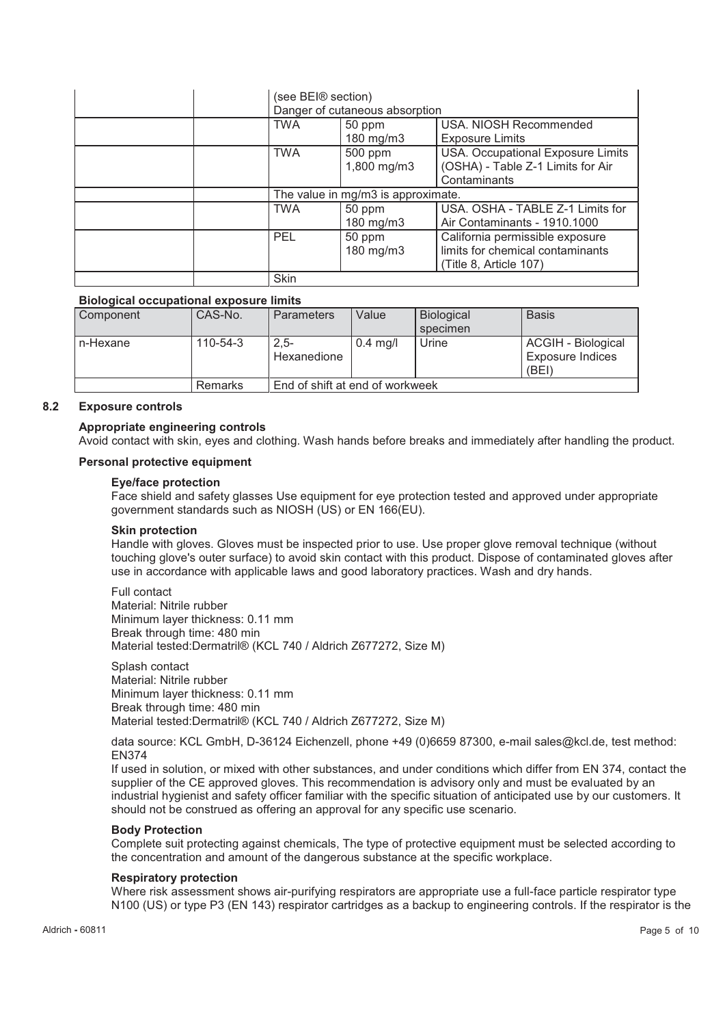| (see BEI® section)                 | Danger of cutaneous absorption |                                                                                               |
|------------------------------------|--------------------------------|-----------------------------------------------------------------------------------------------|
| TWA                                | 50 ppm<br>180 mg/m3            | USA, NIOSH Recommended<br><b>Exposure Limits</b>                                              |
| TWA                                | 500 ppm<br>1,800 mg/m3         | USA. Occupational Exposure Limits<br>(OSHA) - Table Z-1 Limits for Air<br>Contaminants        |
| The value in mg/m3 is approximate. |                                |                                                                                               |
|                                    |                                |                                                                                               |
| TWA                                | 50 ppm<br>$180$ mg/m $3$       | USA. OSHA - TABLE Z-1 Limits for<br>Air Contaminants - 1910.1000                              |
| <b>PEL</b>                         | 50 ppm<br>180 mg/m3            | California permissible exposure<br>limits for chemical contaminants<br>(Title 8, Article 107) |

#### **Biological occupational exposure limits**

| Component  | CAS-No.        | <b>Parameters</b>               | Value      | <b>Biological</b><br>specimen | <b>Basis</b>                                           |
|------------|----------------|---------------------------------|------------|-------------------------------|--------------------------------------------------------|
| l n-Hexane | $110 - 54 - 3$ | $2.5 -$<br>Hexanedione          | $0.4$ mg/l | Urine                         | ACGIH - Biological<br><b>Exposure Indices</b><br>(BEI) |
|            | Remarks        | End of shift at end of workweek |            |                               |                                                        |

#### **8.2 Exposure controls**

#### **Appropriate engineering controls**

Avoid contact with skin, eyes and clothing. Wash hands before breaks and immediately after handling the product.

#### **Personal protective equipment**

#### **Eye/face protection**

Face shield and safety glasses Use equipment for eye protection tested and approved under appropriate government standards such as NIOSH (US) or EN 166(EU).

#### **Skin protection**

Handle with gloves. Gloves must be inspected prior to use. Use proper glove removal technique (without touching glove's outer surface) to avoid skin contact with this product. Dispose of contaminated gloves after use in accordance with applicable laws and good laboratory practices. Wash and dry hands.

Full contact Material: Nitrile rubber Minimum layer thickness: 0.11 mm Break through time: 480 min Material tested:Dermatril® (KCL 740 / Aldrich Z677272, Size M)

Splash contact Material: Nitrile rubber Minimum layer thickness: 0.11 mm Break through time: 480 min Material tested:Dermatril® (KCL 740 / Aldrich Z677272, Size M)

data source: KCL GmbH, D-36124 Eichenzell, phone +49 (0)6659 87300, e-mail sales@kcl.de, test method: EN374

If used in solution, or mixed with other substances, and under conditions which differ from EN 374, contact the supplier of the CE approved gloves. This recommendation is advisory only and must be evaluated by an industrial hygienist and safety officer familiar with the specific situation of anticipated use by our customers. It should not be construed as offering an approval for any specific use scenario.

#### **Body Protection**

Complete suit protecting against chemicals, The type of protective equipment must be selected according to the concentration and amount of the dangerous substance at the specific workplace.

#### **Respiratory protection**

Where risk assessment shows air-purifying respirators are appropriate use a full-face particle respirator type N100 (US) or type P3 (EN 143) respirator cartridges as a backup to engineering controls. If the respirator is the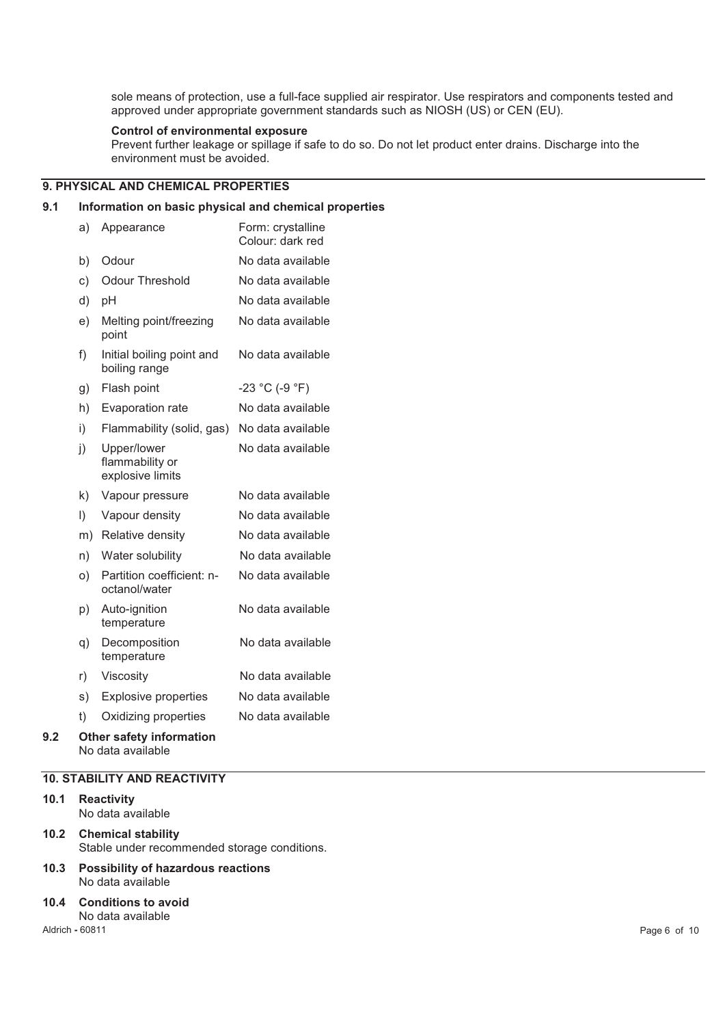sole means of protection, use a full-face supplied air respirator. Use respirators and components tested and approved under appropriate government standards such as NIOSH (US) or CEN (EU).

# **Control of environmental exposure**

Prevent further leakage or spillage if safe to do so. Do not let product enter drains. Discharge into the environment must be avoided.

# **9. PHYSICAL AND CHEMICAL PROPERTIES**

# **9.1 Information on basic physical and chemical properties**

|     | a)        | Appearance                                            | Form: crystalline<br>Colour: dark red |
|-----|-----------|-------------------------------------------------------|---------------------------------------|
|     | b)        | Odour                                                 | No data available                     |
|     | c)        | <b>Odour Threshold</b>                                | No data available                     |
|     | d)        | рH                                                    | No data available                     |
|     | e)        | Melting point/freezing<br>point                       | No data available                     |
|     | f)        | Initial boiling point and<br>boiling range            | No data available                     |
|     | g)        | Flash point                                           | $-23 °C (-9 °F)$                      |
|     | h)        | Evaporation rate                                      | No data available                     |
|     | i)        | Flammability (solid, gas)                             | No data available                     |
|     | j)        | Upper/lower<br>flammability or<br>explosive limits    | No data available                     |
|     | k)        | Vapour pressure                                       | No data available                     |
|     | $\vert$ ) | Vapour density                                        | No data available                     |
|     | m)        | Relative density                                      | No data available                     |
|     | n)        | Water solubility                                      | No data available                     |
|     | O)        | Partition coefficient: n-<br>octanol/water            | No data available                     |
|     | p)        | Auto-ignition<br>temperature                          | No data available                     |
|     | q)        | Decomposition<br>temperature                          | No data available                     |
|     | r)        | Viscosity                                             | No data available                     |
|     | s)        | <b>Explosive properties</b>                           | No data available                     |
|     | t)        | Oxidizing properties                                  | No data available                     |
| 9.2 |           | <b>Other safety information</b><br>No data available. |                                       |

#### **10. STABILITY AND REACTIVITY**

# **10.1 Reactivity**

No data available

# **10.2 Chemical stability**  Stable under recommended storage conditions.

**10.3 Possibility of hazardous reactions**  No data available

#### **10.4 Conditions to avoid**

No data available

Aldrich **-** 60811 Page 6 of 10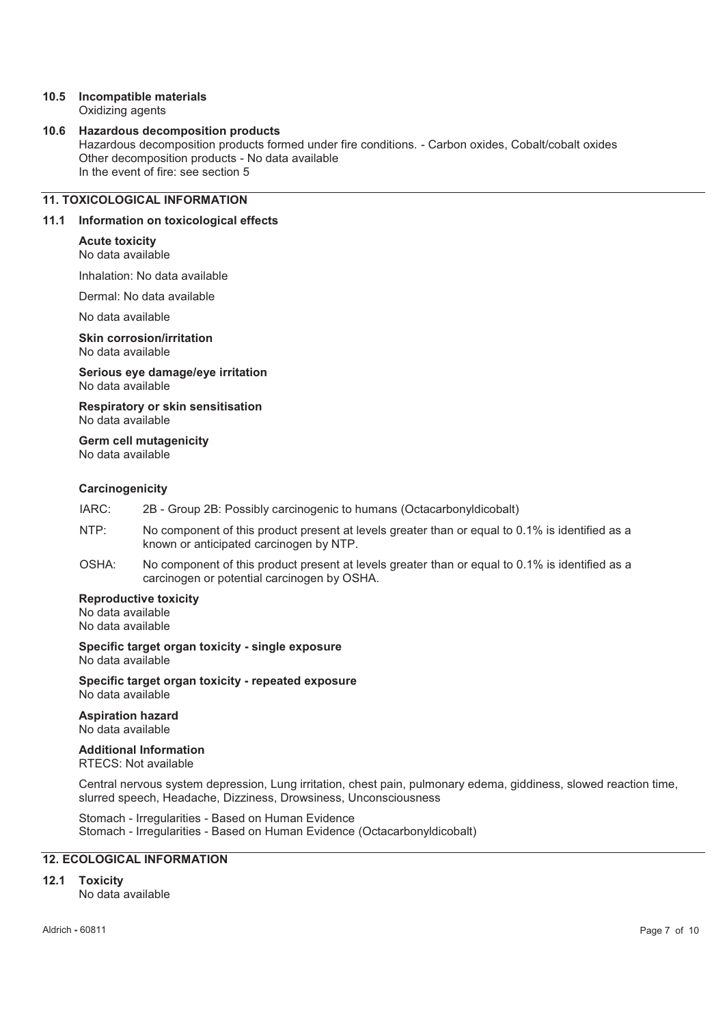#### **10.5 Incompatible materials**  Oxidizing agents

#### **10.6 Hazardous decomposition products**

Hazardous decomposition products formed under fire conditions. - Carbon oxides, Cobalt/cobalt oxides Other decomposition products - No data available In the event of fire: see section 5

# **11. TOXICOLOGICAL INFORMATION**

#### **11.1 Information on toxicological effects**

#### **Acute toxicity**

#### No data available

Inhalation: No data available

Dermal: No data available

No data available

**Skin corrosion/irritation**  No data available

**Serious eye damage/eye irritation**  No data available

**Respiratory or skin sensitisation**  No data available

**Germ cell mutagenicity** 

No data available

#### **Carcinogenicity**

IARC: 2B - Group 2B: Possibly carcinogenic to humans (Octacarbonyldicobalt)

- NTP: No component of this product present at levels greater than or equal to 0.1% is identified as a known or anticipated carcinogen by NTP.
- OSHA: No component of this product present at levels greater than or equal to 0.1% is identified as a carcinogen or potential carcinogen by OSHA.

#### **Reproductive toxicity**

No data available No data available

**Specific target organ toxicity - single exposure**  No data available

**Specific target organ toxicity - repeated exposure**  No data available

#### **Aspiration hazard**  No data available

# **Additional Information**

RTECS: Not available

Central nervous system depression, Lung irritation, chest pain, pulmonary edema, giddiness, slowed reaction time, slurred speech, Headache, Dizziness, Drowsiness, Unconsciousness

Stomach - Irregularities - Based on Human Evidence Stomach - Irregularities - Based on Human Evidence (Octacarbonyldicobalt)

# **12. ECOLOGICAL INFORMATION**

# **12.1 Toxicity**

No data available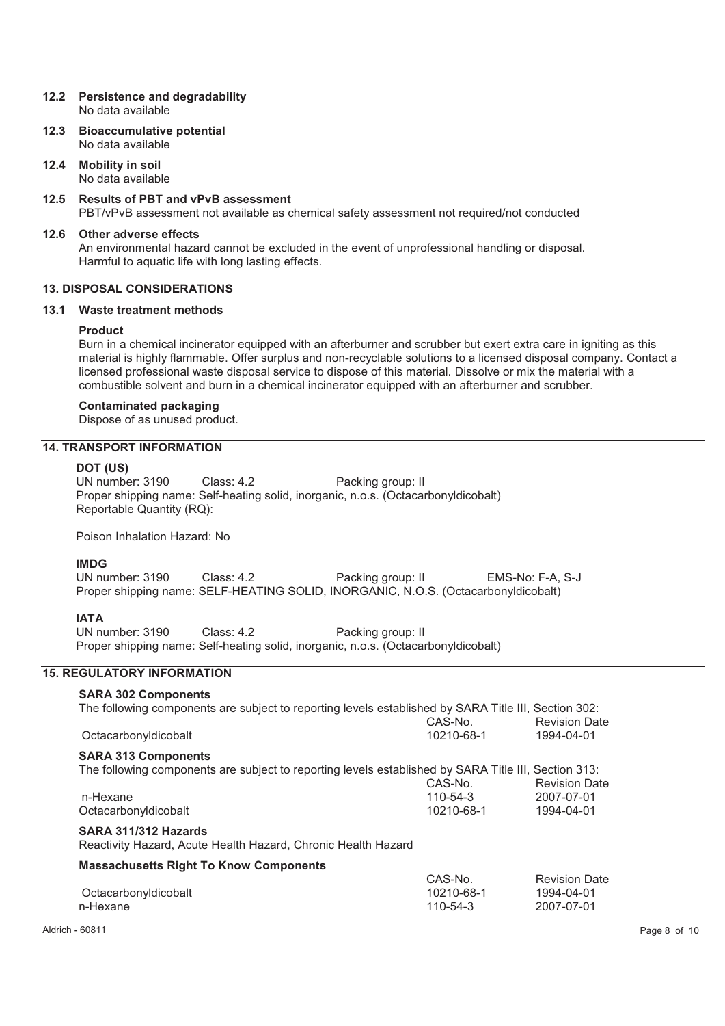#### **12.2 Persistence and degradability**  No data available

- **12.3 Bioaccumulative potential**  No data available
- **12.4 Mobility in soil**  No data available
- **12.5 Results of PBT and vPvB assessment**

PBT/vPvB assessment not available as chemical safety assessment not required/not conducted

#### **12.6 Other adverse effects**

An environmental hazard cannot be excluded in the event of unprofessional handling or disposal. Harmful to aquatic life with long lasting effects.

# **13. DISPOSAL CONSIDERATIONS**

#### **13.1 Waste treatment methods**

#### **Product**

Burn in a chemical incinerator equipped with an afterburner and scrubber but exert extra care in igniting as this material is highly flammable. Offer surplus and non-recyclable solutions to a licensed disposal company. Contact a licensed professional waste disposal service to dispose of this material. Dissolve or mix the material with a combustible solvent and burn in a chemical incinerator equipped with an afterburner and scrubber.

#### **Contaminated packaging**

Dispose of as unused product.

# **14. TRANSPORT INFORMATION**

#### **DOT (US)**

UN number: 3190 Class: 4.2 Packing group: II Proper shipping name: Self-heating solid, inorganic, n.o.s. (Octacarbonyldicobalt) Reportable Quantity (RQ):

Poison Inhalation Hazard: No

#### **IMDG**

UN number: 3190 Class: 4.2 Packing group: II EMS-No: F-A, S-J Proper shipping name: SELF-HEATING SOLID, INORGANIC, N.O.S. (Octacarbonyldicobalt)

#### **IATA**

UN number: 3190 Class: 4.2 Packing group: II Proper shipping name: Self-heating solid, inorganic, n.o.s. (Octacarbonyldicobalt)

# **15. REGULATORY INFORMATION**

#### **SARA 302 Components**  The following components are subject to reporting levels established by SARA Title III, Section 302: **Octacarbonyldicobalt** CAS-No. 10210-68-1 **SARA 313 Components**  The following components are subject to reporting levels established by SARA Title III, Section 313: n-Hexane CAS-No. 110-54-3 Octacarbonyldicobalt 10210-68-1 1994-04-01

#### **SARA 311/312 Hazards**

Reactivity Hazard, Acute Health Hazard, Chronic Health Hazard

#### **Massachusetts Right To Know Components**

|                      | CAS-No.    | <b>Revision Date</b> |
|----------------------|------------|----------------------|
| Octacarbonyldicobalt | 10210-68-1 | 1994-04-01           |
| n-Hexane             | 110-54-3   | 2007-07-01           |
|                      |            |                      |

 $\overline{a}$  .  $\overline{a}$  . . .

Revision Date 1994-04-01

Revision Date 2007-07-01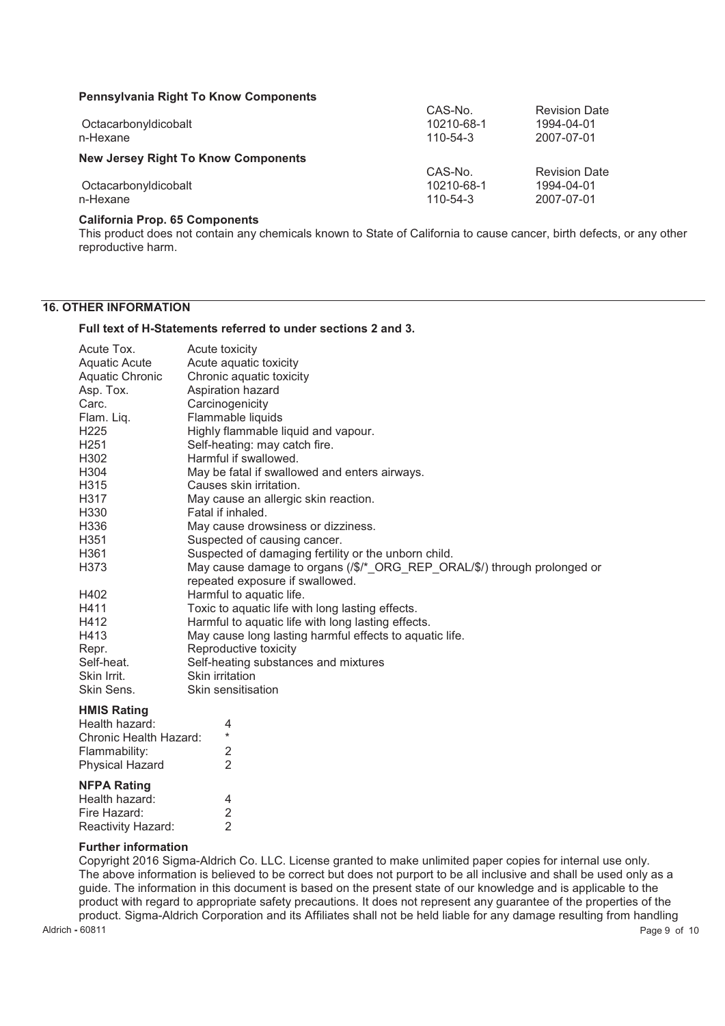#### **Pennsylvania Right To Know Components**

| <b>FULLOWED IN STREET IN THE TELLOW COMPUTED</b> |                |                      |
|--------------------------------------------------|----------------|----------------------|
|                                                  | CAS-No.        | <b>Revision Date</b> |
| Octacarbonyldicobalt                             | 10210-68-1     | 1994-04-01           |
| n-Hexane                                         | $110 - 54 - 3$ | 2007-07-01           |
| <b>New Jersey Right To Know Components</b>       |                |                      |
|                                                  | CAS-No.        | <b>Revision Date</b> |
| Octacarbonyldicobalt                             | 10210-68-1     | 1994-04-01           |
| n-Hexane                                         | $110 - 54 - 3$ | 2007-07-01           |

#### **California Prop. 65 Components**

This product does not contain any chemicals known to State of California to cause cancer, birth defects, or any other reproductive harm.

# **16. OTHER INFORMATION**

#### **Full text of H-Statements referred to under sections 2 and 3.**

| Acute Tox.           | Acute toxicity                                                                   |
|----------------------|----------------------------------------------------------------------------------|
| <b>Aquatic Acute</b> | Acute aquatic toxicity                                                           |
| Aquatic Chronic      | Chronic aquatic toxicity                                                         |
| Asp. Tox.            | Aspiration hazard                                                                |
| Carc.                | Carcinogenicity                                                                  |
| Flam. Liq.           | Flammable liquids                                                                |
| H <sub>225</sub>     | Highly flammable liquid and vapour.                                              |
| H <sub>251</sub>     | Self-heating: may catch fire.                                                    |
| H302                 | Harmful if swallowed.                                                            |
| H304                 | May be fatal if swallowed and enters airways.                                    |
| H315                 | Causes skin irritation.                                                          |
| H317                 | May cause an allergic skin reaction.                                             |
| H330                 | Fatal if inhaled.                                                                |
| H336                 | May cause drowsiness or dizziness.                                               |
| H351                 | Suspected of causing cancer.                                                     |
| H361                 | Suspected of damaging fertility or the unborn child.                             |
| H373                 | May cause damage to organs $(\sqrt{k})^*$ ORG REP ORAL/\$/) through prolonged or |
|                      | repeated exposure if swallowed.                                                  |
| H402                 | Harmful to aquatic life.                                                         |
| H411                 | Toxic to aquatic life with long lasting effects.                                 |
| H412                 | Harmful to aquatic life with long lasting effects.                               |
| H413                 | May cause long lasting harmful effects to aquatic life.                          |
| Repr.                | Reproductive toxicity                                                            |
| Self-heat.           | Self-heating substances and mixtures                                             |
| Skin Irrit.          | Skin irritation                                                                  |
| Skin Sens.           | Skin sensitisation                                                               |
| <b>ILIMIC DALLA</b>  |                                                                                  |

#### **HMIS Rating**

| <b>NFPA Rating</b>     |  |
|------------------------|--|
| <b>Physical Hazard</b> |  |
| Flammability:          |  |
| Chronic Health Hazard: |  |
| Health hazard:         |  |

| 4 |
|---|
| 2 |
| 2 |
|   |

# **Further information**

Aldrich **-** 60811 Page 9 of 10 Copyright 2016 Sigma-Aldrich Co. LLC. License granted to make unlimited paper copies for internal use only. The above information is believed to be correct but does not purport to be all inclusive and shall be used only as a guide. The information in this document is based on the present state of our knowledge and is applicable to the product with regard to appropriate safety precautions. It does not represent any guarantee of the properties of the product. Sigma-Aldrich Corporation and its Affiliates shall not be held liable for any damage resulting from handling